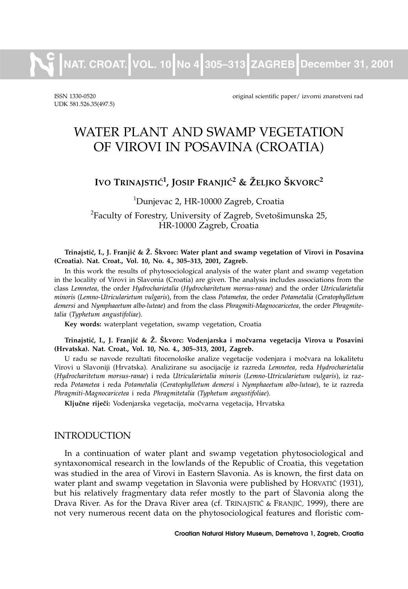**NAT. CROAT. VOL. 10 No 4 305–313 ZAGREB December 31, 2001**

UDK 581.526.35(497.5)

ISSN 1330-0520 original scientific paper/ izvorni znanstveni rad

# WATER PLANT AND SWAMP VEGETATION OF VIROVI IN POSAVINA (CROATIA)

# **IVO TRINAJSTIĆ<sup>1</sup>, JOSIP FRANJIĆ<sup>2</sup> & ŽELJKO ŠKVORC<sup>2</sup>**

<sup>1</sup>Dunjevac 2, HR-10000 Zagreb, Croatia  $^{2}$ Faculty of Forestry, University of Zagreb, Svetošimunska 25, HR-10000 Zagreb, Croatia

#### Trinajstić, I., J. Franjić & Ž. Škvorc: Water plant and swamp vegetation of Virovi in Posavina **(Croatia). Nat. Croat., Vol. 10, No. 4., 305–313, 2001, Zagreb.**

In this work the results of phytosociological analysis of the water plant and swamp vegetation in the locality of Virovi in Slavonia (Croatia) are given. The analysis includes associations from the class *Lemnetea*, the order *Hydrocharietalia* (*Hydrocharitetum morsus-ranae*) and the order *Utricularietalia minoris* (*Lemno-Utricularietum vulgaris*), from the class *Potametea*, the order *Potametalia* (*Ceratophylletum demersi* and *Nymphaeetum albo-luteae*) and from the class *Phragmiti-Magnocaricetea*, the order *Phragmitetalia* (*Typhetum angustifoliae*).

**Key words:** waterplant vegetation, swamp vegetation, Croatia

Trinajstić, I., J. Franjić & Ž. Škvorc: Vodenjarska i močvarna vegetacija Virova u Posavini **(Hrvatska). Nat. Croat., Vol. 10, No. 4., 305–313, 2001, Zagreb.**

U radu se navode rezultati fitocenološke analize vegetacije vodenjara i močvara na lokalitetu Virovi u Slavoniji (Hrvatska). Analizirane su asocijacije iz razreda *Lemnetea*, reda *Hydrocharietalia* (*Hydrocharitetum morsus-ranae*) i reda *Utricularietalia minoris* (*Lemno-Utricularietum vulgaris*), iz razreda *Potametea* i reda *Potametalia* (*Ceratophylletum demersi* i *Nymphaeetum albo-luteae*), te iz razreda *Phragmiti-Magnocaricetea* i reda *Phragmitetalia* (*Typhetum angustifoliae*).

Ključne riječi: Vodenjarska vegetacija, močvarna vegetacija, Hrvatska

# INTRODUCTION

In a continuation of water plant and swamp vegetation phytosociological and syntaxonomical research in the lowlands of the Republic of Croatia, this vegetation was studied in the area of Virovi in Eastern Slavonia. As is known, the first data on water plant and swamp vegetation in Slavonia were published by HORVATIC (1931), but his relatively fragmentary data refer mostly to the part of Slavonia along the Drava River. As for the Drava River area (cf. TRINAJSTIĆ & FRANJIĆ, 1999), there are not very numerous recent data on the phytosociological features and floristic com-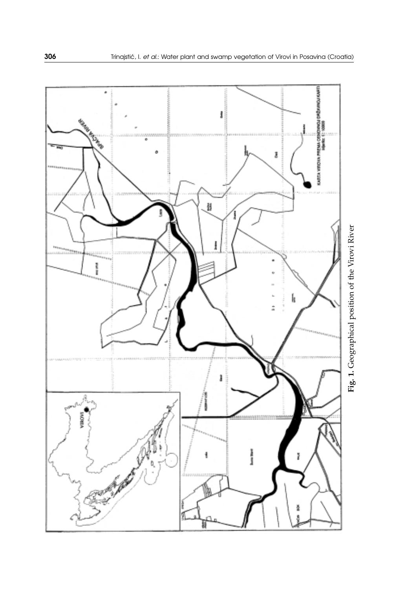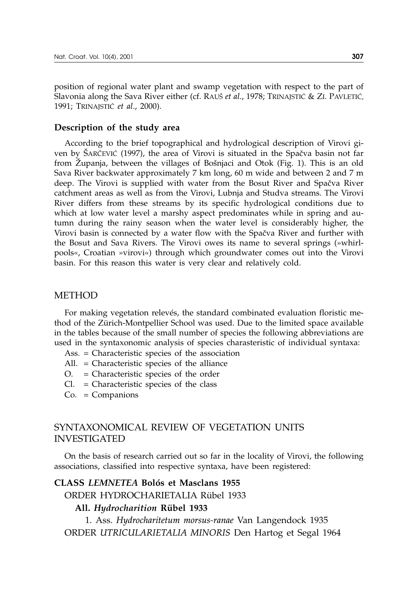position of regional water plant and swamp vegetation with respect to the part of Slavonia along the Sava River either (cf. RAUŠ et al., 1978; TRINAJSTIĆ & ZI. PAVLETIĆ, 1991; TRINAJSTI] *et al*., 2000).

## **Description of the study area**

According to the brief topographical and hydrological description of Virovi given by SARČEVIĆ (1997), the area of Virovi is situated in the Spačva basin not far from Županja, between the villages of Bošnjaci and Otok (Fig. 1). This is an old Sava River backwater approximately 7 km long, 60 m wide and between 2 and 7 m deep. The Virovi is supplied with water from the Bosut River and Spačva River catchment areas as well as from the Virovi, Lubnja and Studva streams. The Virovi River differs from these streams by its specific hydrological conditions due to which at low water level a marshy aspect predominates while in spring and autumn during the rainy season when the water level is considerably higher, the Virovi basin is connected by a water flow with the Spačva River and further with the Bosut and Sava Rivers. The Virovi owes its name to several springs (»whirlpools«, Croatian »virovi«) through which groundwater comes out into the Virovi basin. For this reason this water is very clear and relatively cold.

# METHOD

For making vegetation relevés, the standard combinated evaluation floristic method of the Zürich-Montpellier School was used. Due to the limited space available in the tables because of the small number of species the following abbreviations are used in the syntaxonomic analysis of species charasteristic of individual syntaxa:

- Ass. = Characteristic species of the association
- All. = Characteristic species of the alliance
- O. = Characteristic species of the order
- Cl. = Characteristic species of the class
- Co. = Companions

# SYNTAXONOMICAL REVIEW OF VEGETATION UNITS INVESTIGATED

On the basis of research carried out so far in the locality of Virovi, the following associations, classified into respective syntaxa, have been registered:

## **CLASS** *LEMNETEA* **Bolós et Masclans 1955**

ORDER HYDROCHARIETALIA Rübel 1933

## **All.** *Hydrocharition* **Rübel 1933**

1. Ass. *Hydrocharitetum morsus-ranae* Van Langendock 1935 ORDER *UTRICULARIETALIA MINORIS* Den Hartog et Segal 1964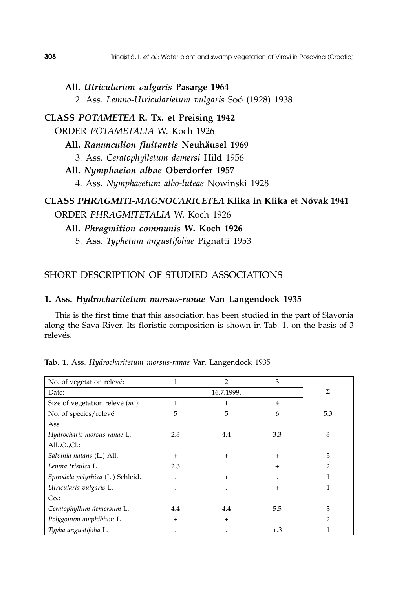**All.** *Utricularion vulgaris* **Pasarge 1964** 2. Ass. *Lemno-Utricularietum vulgaris* Soó (1928) 1938

**CLASS** *POTAMETEA* **R. Tx. et Preising 1942** ORDER *POTAMETALIA* W. Koch 1926

**All.** *Ranunculion fluitantis* **Neuhäusel 1969**

3. Ass. *Ceratophylletum demersi* Hild 1956

**All.** *Nymphaeion albae* **Oberdorfer 1957**

4. Ass. *Nymphaeetum albo-luteae* Nowinski 1928

# **CLASS** *PHRAGMITI-MAGNOCARICETEA* **Klika in Klika et Nóvak 1941** ORDER *PHRAGMITETALIA* W. Koch 1926

**All.** *Phragmition communis* **W. Koch 1926**

5. Ass. *Typhetum angustifoliae* Pignatti 1953

# SHORT DESCRIPTION OF STUDIED ASSOCIATIONS

## **1. Ass.** *Hydrocharitetum morsus-ranae* **Van Langendock 1935**

This is the first time that this association has been studied in the part of Slavonia along the Sava River. Its floristic composition is shown in Tab. 1, on the basis of 3 relevés.

| No. of vegetation relevé:           |            | $\overline{2}$ | 3      |     |
|-------------------------------------|------------|----------------|--------|-----|
| Date:                               | 16.7.1999. |                |        | Σ   |
| Size of vegetation relevé $(m^2)$ : | 1          |                | 4      |     |
| No. of species/relevé:              | 5          | 5              | 6      | 5.3 |
| Ass.:                               |            |                |        |     |
| Hydrocharis morsus-ranae L.         | 2.3        | 4.4            | 3.3    | 3   |
| All.O.C.l.:                         |            |                |        |     |
| Salvinia natans (L.) All.           | $+$        | $+$            | $^{+}$ | 3   |
| Lemna trisulca L.                   | 2.3        |                | $^{+}$ | 2   |
| Spirodela polyrhiza (L.) Schleid.   |            | $\hbox{ }$     |        |     |
| Utricularia vulgaris L.             |            |                | $^{+}$ |     |
| Co.                                 |            |                |        |     |
| Ceratophyllum demersum L.           | 4.4        | 4.4            | 5.5    | 3   |
| Polygonum amphibium L.              | $^{+}$     | $+$            |        | 2   |
| Typha angustifolia L.               |            |                | $+.3$  |     |

**Tab. 1.** Ass. *Hydrocharitetum morsus-ranae* Van Langendock 1935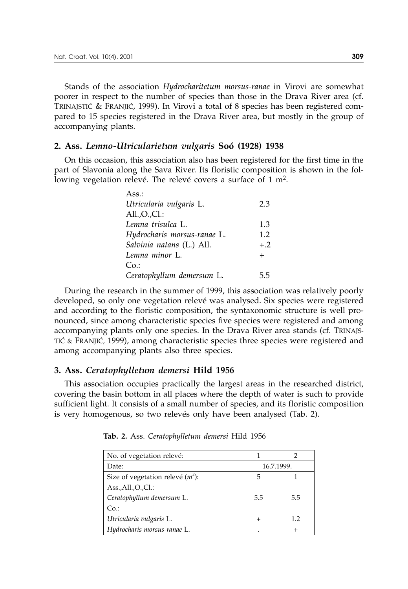Stands of the association *Hydrocharitetum morsus-ranae* in Virovi are somewhat poorer in respect to the number of species than those in the Drava River area (cf. TRINAJSTIĆ & FRANJIĆ, 1999). In Virovi a total of 8 species has been registered compared to 15 species registered in the Drava River area, but mostly in the group of accompanying plants.

#### **2. Ass.** *Lemno-Utricularietum vulgaris* **Soó (1928) 1938**

On this occasion, this association also has been registered for the first time in the part of Slavonia along the Sava River. Its floristic composition is shown in the following vegetation relevé. The relevé covers a surface of 1 m<sup>2</sup>.

| Ass.:                       |        |
|-----------------------------|--------|
| Utricularia vulgaris L.     | 2.3    |
| All.,O.,Cl.:                |        |
| Lemna trisulca L.           | 1.3    |
| Hydrocharis morsus-ranae L. | 1.2    |
| Salvinia natans (L.) All.   | $+.2$  |
| Lemna minor L.              | $^{+}$ |
| Co.                         |        |
| Ceratophyllum demersum L.   | 5.5    |
|                             |        |

During the research in the summer of 1999, this association was relatively poorly developed, so only one vegetation relevé was analysed. Six species were registered and according to the floristic composition, the syntaxonomic structure is well pronounced, since among characteristic species five species were registered and among accompanying plants only one species. In the Drava River area stands (cf. TRINAJS-TIĆ & FRANJIĆ, 1999), among characteristic species three species were registered and among accompanying plants also three species.

#### **3. Ass.** *Ceratophylletum demersi* **Hild 1956**

This association occupies practically the largest areas in the researched district, covering the basin bottom in all places where the depth of water is such to provide sufficient light. It consists of a small number of species, and its floristic composition is very homogenous, so two relevés only have been analysed (Tab. 2).

| No. of vegetation relevé:           |            |        |  |
|-------------------------------------|------------|--------|--|
| Date:                               | 16.7.1999. |        |  |
| Size of vegetation relevé $(m^2)$ : | 5          |        |  |
| Ass. All. O. CL:                    |            |        |  |
| Ceratophyllum demersum L.           | 5.5        | 5.5    |  |
| Co.                                 |            |        |  |
| Utricularia vulgaris L.             |            | 1.2    |  |
| Hydrocharis morsus-ranae L.         |            | $^{+}$ |  |

**Tab. 2.** Ass. *Ceratophylletum demersi* Hild 1956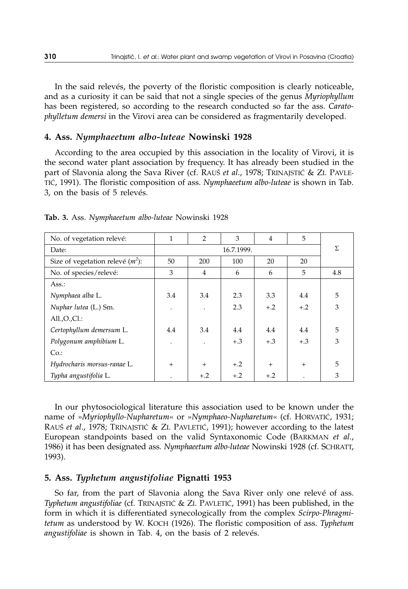In the said relevés, the poverty of the floristic composition is clearly noticeable, and as a curiosity it can be said that not a single species of the genus *Myriophyllum* has been registered, so according to the research conducted so far the ass. *Caratophylletum demersi* in the Virovi area can be considered as fragmentarily developed.

#### **4. Ass.** *Nymphaeetum albo-luteae* **Nowinski 1928**

According to the area occupied by this association in the locality of Virovi, it is the second water plant association by frequency. It has already been studied in the part of Slavonia along the Sava River (cf. RAUŠ *et al.*, 1978; TRINAJSTIĆ & ZI. PAVLE-TIĆ, 1991). The floristic composition of ass. *Nymphaeetum albo-luteae* is shown in Tab. 3, on the basis of 5 relevés.

| No. of vegetation relevé:           |            | $\overline{2}$ | 3     | 4     | 5     |     |
|-------------------------------------|------------|----------------|-------|-------|-------|-----|
| Date:                               | 16.7.1999. |                |       | Σ     |       |     |
| Size of vegetation relevé $(m^2)$ : | 50         | 200            | 100   | 20    | 20    |     |
| No. of species/relevé:              | 3          | 4              | 6     | 6     | 5     | 4.8 |
| Ass.:                               |            |                |       |       |       |     |
| Nymphaea alba L.                    | 3.4        | 3.4            | 2.3   | 3.3   | 4.4   | 5   |
| Nuphar lutea (L.) Sm.               |            |                | 2.3   | $+.2$ | $+.2$ | 3   |
| All. O. Cl.:                        |            |                |       |       |       |     |
| Certophyllum demersum L.            | 4.4        | 3.4            | 4.4   | 4.4   | 4.4   | 5   |
| Polygonum amphibium L.              |            |                | $+.3$ | $+.3$ | $+.3$ | 3   |
| Co.                                 |            |                |       |       |       |     |
| Hydrocharis morsus-ranae L.         | $^{+}$     | $+$            | $+.2$ | $+$   | $+$   | 5   |
| Typha angustifolia L.               |            | $+.2$          | $+.2$ | $+.2$ |       | 3   |

**Tab. 3.** Ass. *Nymphaeetum albo-luteae* Nowinski 1928

In our phytosociological literature this association used to be known under the name of »*Myriophyllo-Nupharetum*« or »*Nymphaeo-Nupharetum*« (cf. HORVATIĆ, 1931; RAUŠ et al., 1978; TRINAJSTIĆ & ZI. PAVLETIĆ, 1991); however according to the latest European standpoints based on the valid Syntaxonomic Code (BARKMAN *et al*., 1986) it has been designated ass. *Nymphaeetum albo-luteae* Nowinski 1928 (cf. SCHRATT, 1993).

#### **5. Ass.** *Typhetum angustifoliae* **Pignatti 1953**

So far, from the part of Slavonia along the Sava River only one relevé of ass. *Typhetum angustifoliae* (cf. TRINAJSTIC & ZI. PAVLETIC, 1991) has been published, in the form in which it is differentiated synecologically from the complex *Scirpo-Phragmitetum* as understood by W. KOCH (1926). The floristic composition of ass. *Typhetum angustifoliae* is shown in Tab. 4, on the basis of 2 relevés.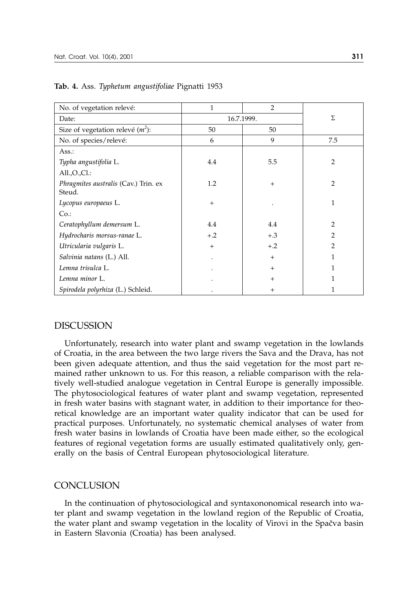| No. of vegetation relevé:                      | $\mathbf{1}$ | $\overline{2}$ |                |
|------------------------------------------------|--------------|----------------|----------------|
| Date:                                          | 16.7.1999.   | Σ              |                |
| Size of vegetation relevé $(m^2)$ :            | 50           | 50             |                |
| No. of species/relevé:                         | 6            | 9              | 7.5            |
| Ass.:                                          |              |                |                |
| Typha angustifolia L.                          | 4.4          | 5.5            | $\overline{2}$ |
| All. O. C1.                                    |              |                |                |
| Phragmites australis (Cav.) Trin. ex<br>Steud. | 1.2          | $+$            | $\overline{2}$ |
| Lycopus europaeus L.                           | $+$          |                | 1              |
| Co.                                            |              |                |                |
| Ceratophyllum demersum L.                      | 4.4          | 4.4            | $\overline{2}$ |
| Hydrocharis morsus-ranae L.                    | $+.2$        | $+.3$          | $\overline{2}$ |
| Utricularia vulgaris L.                        | $+$          | $+.2$          | $\overline{2}$ |
| Salvinia natans (L.) All.                      |              | $+$            | 1              |
| Lemna trisulca L.                              |              | $+$            | 1              |
| Lemna minor L.                                 |              | $+$            | $\mathbf{1}$   |
| Spirodela polyrhiza (L.) Schleid.              |              | $^{+}$         | 1              |

**Tab. 4.** Ass. *Typhetum angustifoliae* Pignatti 1953

#### DISCUSSION

Unfortunately, research into water plant and swamp vegetation in the lowlands of Croatia, in the area between the two large rivers the Sava and the Drava, has not been given adequate attention, and thus the said vegetation for the most part remained rather unknown to us. For this reason, a reliable comparison with the relatively well-studied analogue vegetation in Central Europe is generally impossible. The phytosociological features of water plant and swamp vegetation, represented in fresh water basins with stagnant water, in addition to their importance for theoretical knowledge are an important water quality indicator that can be used for practical purposes. Unfortunately, no systematic chemical analyses of water from fresh water basins in lowlands of Croatia have been made either, so the ecological features of regional vegetation forms are usually estimated qualitatively only, generally on the basis of Central European phytosociological literature.

# **CONCLUSION**

In the continuation of phytosociological and syntaxononomical research into water plant and swamp vegetation in the lowland region of the Republic of Croatia, the water plant and swamp vegetation in the locality of Virovi in the Spačva basin in Eastern Slavonia (Croatia) has been analysed.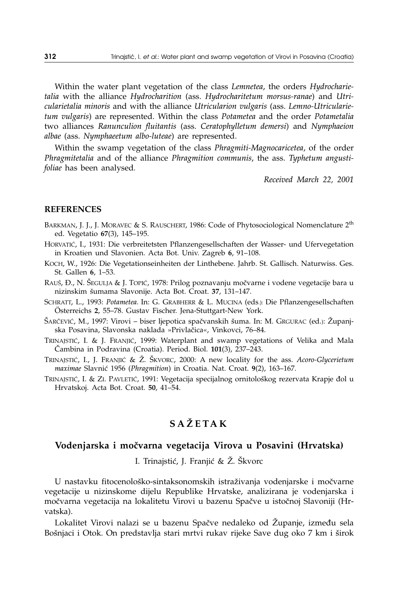Within the water plant vegetation of the class *Lemnetea*, the orders *Hydrocharietalia* with the alliance *Hydrocharition* (ass. *Hydrocharitetum morsus-ranae*) and *Utricularietalia minoris* and with the alliance *Utricularion vulgaris* (ass. *Lemno-Utricularietum vulgaris*) are represented. Within the class *Potametea* and the order *Potametalia* two alliances *Ranunculion fluitantis* (ass. *Ceratophylletum demersi*) and *Nymphaeion albae* (ass. *Nymphaeetum albo-luteae*) are represented.

Within the swamp vegetation of the class *Phragmiti-Magnocaricetea*, of the order *Phragmitetalia* and of the alliance *Phragmition communis*, the ass. *Typhetum angustifoliae* has been analysed*.*

*Received March 22, 2001*

#### **REFERENCES**

- BARKMAN, J. J., J. MORAVEC & S. RAUSCHERT, 1986: Code of Phytosociological Nomenclature 2<sup>th</sup> ed. Vegetatio **67**(3), 145–195.
- HORVATIĆ, I., 1931: Die verbreitetsten Pflanzengesellschaften der Wasser- und Ufervegetation in Kroatien und Slavonien. Acta Bot. Univ. Zagreb **6**, 91–108.
- KOCH, W., 1926: Die Vegetationseinheiten der Linthebene. Jahrb. St. Gallisch. Naturwiss. Ges. St. Gallen **6**, 1–53.
- RAUŠ, Đ., N. ŠEGULJA & J. TOPIĆ, 1978: Prilog poznavanju močvarne i vodene vegetacije bara u nizinskim {umama Slavonije. Acta Bot. Croat. **37**, 131–147.
- SCHRATT, L., 1993: *Potametea.* In: G. GRABHERR & L. MUCINA (eds.): Die Pflanzengesellschaften Österreichs **2**, 55–78. Gustav Fischer. Jena-Stuttgart-New York.
- ŠARČEVIĆ, M., 1997: Virovi biser ljepotica spačvanskih šuma. In: M. GRGURAC (ed.): Županjska Posavina, Slavonska naklada »Privlačica«, Vinkovci, 76-84.
- TRINAJSTIĆ, I. & J. FRANJIĆ, 1999: Waterplant and swamp vegetations of Velika and Mala ^ambina in Podravina (Croatia). Period. Biol. **101**(3), 237–243.
- TRINAJSTIĆ, I., J. FRANJIĆ & Ž. ŠKVORC, 2000: A new locality for the ass. *Acoro-Glycerietum maximae* Slavni} 1956 (*Phragmition*) in Croatia. Nat. Croat. **9**(2), 163–167.
- TRINAJSTIĆ, I. & ZI. PAVLETIĆ, 1991: Vegetacija specijalnog ornitološkog rezervata Krapje đol u Hrvatskoj. Acta Bot. Croat. **50**, 41–54.

# **SA@ETAK**

#### Vodenjarska i močvarna vegetacija Virova u Posavini (Hrvatska)

I. Trinajstić, J. Franjić & Ž. Škvorc

U nastavku fitocenološko-sintaksonomskih istraživanja vodenjarske i močvarne vegetacije u nizinskome dijelu Republike Hrvatske, analizirana je vodenjarska i močvarna vegetacija na lokalitetu Virovi u bazenu Spačve u istočnoj Slavoniji (Hrvatska).

Lokalitet Virovi nalazi se u bazenu Spačve nedaleko od Županje, između sela Bošnjaci i Otok. On predstavlja stari mrtvi rukav rijeke Save dug oko 7 km i širok